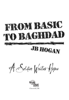

A Soldier Writes Home

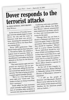## **Dover responds to the terrorist attacks**  $\frac{Dover \sim Dover \sim D}$

By ERIN KOSNAC, JEFF BROWN *Staff Writers ——————————————————*

As the horrors of Tuesday morning's terrorist attacks began to reach Dover, the city and the state o<sup>f</sup> Delaware took their own precautions. Assuming the maximum level of security at Dover Air Force Base was among them.

Dover AFB spokesman TSgt. Mitch Gettle said the base had gone to ThreatCon Delta, the military's highest level of security. Only authorized Department of Defense identification card holders are being allowed on the base for the foreseeable future.

"Our main interest right now is to protect our resources and our people," Gettle said, adding the base has not received any specific threat to its security. The base is being proactive to guard against possible threats.

"We're in a very fluid environment right now," Gettle said, "Our leaders on base are doing everything

that's necessary." Gettle added the base mortuary, which normally handles large numbers of casualties after accidents or terrorist acts, has not been activated.

Conferring with state and federal public safety officials, Gov. Ruth Ann Minner ordered nonessential state employees to go home, schools to close and recommended businesses do the same.

"Though there has not been a threat to Delaware and there is no reason for panic, I want to take every precaution. This is a time when families should be together," Minner said in a press release Tuesday. "Every individual should be very aware of their surroundings at work, as they leave work if they do so, an<sup>d</sup> at home. Again this is not a time for panic, but it is a time for caution."

All school districts and City o<sup>f</sup> Dover offices closed in response to the national situation.

As the toll of this tragedy remained uncertain, Bishop Michael A. Saltarelli, bishop of the Catholic Diocese of Wilmington released a statement.

"…I call on the people of Delaware and Maryland's Eastern Shore to pray with me for the innocent victims of this attack and their families, for the American people and our leaders…"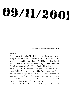## 09/11/2001

Letter from JB dated September 11, 2001

Dear Home,

They say that September 11 will live alongside December 7 in infamy. I have heard and overheard a lot. They say that there were more casualties today than at Pearl Harbor. I have heard that two huge towers that I saw not too long ago with some good friends are now a pile of rubble and bodies. I have heard that the army wing of the Pentagon was destroyed — but Generals Shelton and Shinseki were not present. That fortress that is the State Department is completely gone as far as I know. And the final slap was delivered when Camp David was hit. I don't even know what they mean by "hit." And the last thing I heard is that this is one of three planned strikes on the U.S.

We are only a few baby steps from declaring war. All we need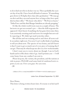to do is find out who to declare war on. This is probably the scariest day of my life. I have heard all kinds of rumors: "If something goes down we'll deploy three days after graduation." "We may go on alert and they can send anyone here as long as they have qualified on their rifles." "We know who did it." "We'll never know." "Delta Force and the third Ranger battalion are already prepping."

It's like the whole world went crazy in a couple of hours. The last news we got was around 1300 — then the drill sergeants disappeared. I don't know if anything else has gone down since then. I am anxiously awaiting mail and news for tonight but not really expecting it. We didn't get mail yesterday either.

But all that and our training and PT and chow all seem really secondary right now. I'm sorry I can't really think of anything to tell you about now. The specter of war looms, and all I know is that I want to get as much out of every piece of training that I can get. That may be what keeps me alive in a few weeks/months.

I don't want you to worry about me though. I am in God's hands and it is His choice where I go. And I promise you — I will come home from any combat I am sent to.

Please keep me, the victims, the president, and the nations at risk in prayer. PLEASE send some kind of condensed news reports as you can. I love you guys. See you soon.

 $\sim$  JB



Letter from JB dated September 12, 2001

Dear Home,

This letter is being written hours later. Everyone is in bed and I

from basic to baghdad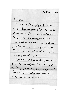September 12, 2001 Dear Home, ... <sup>S</sup>o, here's what's been going on. We had our five-mile Eagle run yesterday. Too easy — we had it done in  $\varphi$ 3:10. Wish we'd gone around 35:00 or less. But the entire company minus only 5 percent must pass the run so they keep it slow. <sup>C</sup>orrection. That should read only 5 percent can fall out or go on sick call and not pass the run or the company does not graduate. <sup>T</sup>omorrow at 0345 we are stepping out for a quick eight-mile road march. Not a whole lot of fun. It's going to be all day buddy-team movement. Then the night infiltration course, which is crawling under live machine gun fire...

9 /11/2001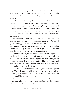am guarding them. A good thief could be behind me though as I am concentrating more on this letter than on those numbskulls around me. Not my fault if they leave their lockers open anyway.

Today was really scary. Make no mistake. But one of the drills called a formation to dispel rumor — which really helped. Camp David was not hit. Nobody is deploying anywhere and training will continue as normal. However, America is in a serious state, and we are on a further news blackout. Training is going to be super serious. I just hope everyone can get that into their skulls.

So, here's what's been going on. We had our five-mile Eagle run yesterday. Too easy — we had it done in 43:10. Wish we'd gone around 35:00 or less. But the entire company minus only 5 percent must pass the run so they keep it slow. Correction. That should read only 5 percent can fall out or go on sick call and not pass the run or the company does not graduate.

Tomorrow at 0345 we are stepping out for a quick eight-mile road march. Not a whole lot of fun. It's going to be all day buddy-team movement. Then the night infiltration course, which is crawling under live machine gun fire. Then we bivouac and ride back here. I'm not real excited about tomorrow, but it'll probably make the week go by faster.

I am still concerned about the state of, well, everything right now. The drill sergeant said everything has changed overnight. Anything that happens — especially any statements the president issues would be really nice to read.

For the meantime I am okay. There's no reason to start worrying now. There may be a time to worry later, but there just as likely may not. Forget about the future until it happens.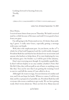Looking forward to hearing from you. Tiredly,  $\sim$ IB

Letter from JB dated September 15, 2001

## Dear Home,

I received more letters from you on Thursday. We hadn't received mail in a while because of bivouacs and stuff. It was good to hear from you guys.

I'm still going to the Pentecostal service. It's better than nothing I guess. I really miss Grace, especially getting a message with some real depth.

Well, this is the unpleasant part. As you know, on the  $II<sup>th</sup>$  a whole lot of bad stuff happened and the world totally changed. President Bush has said that he has declared war on terrorists and anyone who harbors or helps them. If we start deploying for war, the infantry goes. On October 12, I will be part of the infantry.

Don't start worrying now though. It is probably equally likely that I will not deploy or see any combat. [Author's Note: Ha! Ha Ha!] Also, they will not pull us out of basic or anything crazy like that. You can be sure that I am getting the training I need to survive and kill the enemy if I am called to do so.

Although I do want revenge, I'm not desirous of combat and war, and I do not hope for battle. Whatever comes, I will do my duty and be as prepared as I possibly can. President Bush has told everyone who wears a uniform to get ready. We are here getting ready. Don't worry about me. There are lots of us. Many may not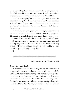go. If we do all go, there will be tons of us. We have a great number of allies too. Heck, even Russia has said they'll cover our back on this one. So I'll be there with plenty of battle buddies.

Don't start worrying. [Editor's Note: I guess I have a certain reputation along those lines.] There is no need. I am perfectly safe and continuing to train. FTX is coming up in less than two weeks and I will learn tons there. In less than a month I'll be seeing you guys.

For now, war or no war, deployment or regular duty, it's all up in the air. Things will continue as normal. But start praying a lot. Please put me in the bulletin for prayer as well. Things may go totally smoothly but they could also go very bad very quickly. So pray.

By the way, for some reason we are watching a movie instead of using the phone. It's *Air Force One*. [Editor's Note: Interesting choice!] I'll write more later. Things are going well here. I love you all very much! See you in 27 days.

 $\sim$  JB



Email from Maggie dated October 8, 2001

Dear friends and family,

This letter from JB has been sitting on my desk for several days, unbeknownst to me, buried under a pile of papers. Bob, Tyler and I are leaving very early next Wednesday for graduation. If any of you that were thinking of going want to know our hotel info, please email us. We will be there Thursday for the family day ceremony and will stay through Sunday as long as he has leave. Thanks for all your prayers and letters! It has been an

from basic to baghdad

44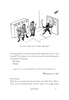

*"You said a night mission tonight, right guys?"*

amazing thing to watch his growth through this process. God is good! We continue to covet your prayers for him during this next phase of training.

Blessings, Maggie



September 27, 2001

Dear Home,

Well, here is my last letter home before FTX. [Ed. Note: This is some sort of weeklong field exercise under very tough condi-

9 /11/2001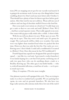tions.] We are stepping out at 0400 for our 15-mile road march. It is going to be an intense week. Let me say a few things before I start rambling about FTX. Don't send any more letters after October. 6. That should leave plenty of time for them to get here before graduation. After that wait for my new address. Please add one can of cashews and one bag of chocolate stuffed Oreos to the food list.

Have you made reservations at a hotel yet? I really hope you get a suite so that we can cook and stuff. [Editor's Note: We?] ...And have actual separate rooms. That really appeals to me now. One room with 55 guys really stinks after a while. A short while.

Well, let me tell you about FTX now. Wake up is at 0200. We step out at 0400. That day won't end until 0300. It's gonna be rough. The road march will be a little over 15 miles. Our rucks were way lighter than standard load when we packed the first time. However, that was only the first list. Our rucks are overflowing now. I don't think I could add a toothbrush if I wanted to. [Editor's Note: Does this mean he has NO toothbrush?]

Fourth Squad (my squad) was designated the special weapons squad — just like in a real unit. I got issued a rocket launcher.) I was kinda hoping for a saw but I feel pretty cool being one of only two guys here who can do anything about a tank or a Bradley showing up. The other guy is my battle buddy — who is, with all intended affection, a total box of rocks — so it's pretty much up to me.

Okay, it's naptime. I'll write more tonight.

Our platoon is pretty well equipped this cycle. They are trying to make it as close to combat load as possible. We are packing four 240bs, six saw<sup>s</sup> and six grenade launchers. We also have two huge radio systems, (the antenna sticks three feet out of the ruck!)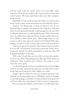and one small radio per squad. Then we've got night vision scopes for all automatic weapons. We've got claymore mines and tons of ammo. We look much better than any other company going on FTX.

Hopefully we'll get mail one last time before we step out. It'd be nice to have some words from home in my head before I leave.

Anyway. On Wednesday we had our final PT test. It was about 38 degrees outside. Our uniform was a long sleeve shirt and shorts. It was absolutely horrible. I still managed to run 14:10 but I collapsed afterwards. I could hardly breathe! That's the second time my asthma has really interfered. It takes really cold air to do so. [Editor's Note: Please pray. Thirty-eight degrees is not nearly as cold as some places he may be sent!] I think I'll be okay though. As bad as it was, it wasn't like it used to be back home.

I did 79 sit-ups in two minutes. One hundred percent on the pt test is 78. I was pleased. I only did 43 push-ups. Forty-two is 60 percent and the cut-off for graduation, so that was close. I'll keep getting higher at my unit.

Well, so far it looks like my leave (the two days after graduation) is a go. Also, unless things get really ugly, I'll be home for Christmas. That would be nice. Maybe I can make it to the New Year's Eve party.

I've decided against ocs for now, partly because I want to fight when it's my time and partly because you can make more money in the long run if you go in with a higher nco rank.

Ranger school is almost for sure not an option anymore. Lots of people are having it taken away. I will still get Airborne though. I was really hoping to call before FTX but it doesn't look good. Oh well. It is really close to graduation. Only six more training days.

Have you got up with Sue and Dwayne? I really hope Luke

$$
9/II/200I
$$
 47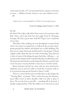comes down on the  $12<sup>th</sup>$ . Let my friends know anyone is welcome to come — Mellora, Nicole, whoever can come. Relatives too!  $\sim$ IB



Email from Maggie dated October 17, 2001

## Hi All,

He did it! He really really did it! Just a note to let you know that Bob, Tyler, and I got back late last night from Ft. Benning, Georgia. We had a great time with JB. I'll give you a rundown of our days.

Thursday: After making our way through the security check where our truck was inspected, we followed the security checkpoints guarded by soldiers and barbed wire to JB's building. We then sat in a large classroom and listened to a lieutenant. Colonel explain a little about the last 14 weeks of training. They showed a video of some of the things the guys had done. (All guys — no women in the infantry!) He remarked that this overflowing roomful of parents and friends was the largest he'd had at a parent's day event. I'm sure everyone had the events of 9/11 on their minds.

Diane Gorman and her two sons, who are now stationed in Alabama, met us and were able to watch the ceremony with us. It was great having special friends to share it with!

Then we went outside and sat in bleachers as they began the "Turning Blue" ceremony. This is when they get the Infantryman's Blue Cord on their shoulder. Bob was able to place it there. He was the first to spot JB — standing tall in the back. I hardly recognized him. Then the soldiers were released on a pass

from basic to baghdad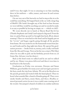until 8 p.m. that night. It was so amazing to see him standing there in his uniform — taller, tanner, and more fit and serious than before.

On our way out of the barracks we had to stop at the px so he could buy something. He hopped back in the car with a large bag of M&M's! (We hadn't brought any of the food on base because we were told they would be searching cars and we needed to make it as easy as possible by having an empty car — which we did!)

We went directly out to lunch at Macon Road Bar-b-Cue (Thanks Stephanie and Andy!) and enjoyed a big meal. From the time we picked him up until we brought him back, JB ate almost nonstop.) Then we went back to the hotel and he happily put on his "civvies" and began eagerly going through all the goodies from home. He was excited to see the homemade treats from Janice and Linda and he dug right into them. He opened his graduation presents — books from us, money, and a really cool knife from Me-Ma and George. Next on his list was a trip to Wal-Mart where he was able to pick out his birthday present from us. (A Game Boy Advance was his choice.)

Back at the hotel room we talked and he ate and we talked and he ate. Dinner was pizza delivered and then it was time to head back to the barracks.

Graduation on Friday was awesome. Dwayne and Susan Williams, great buddies for many years and surrogate parents to the boys, made the trip from Atlanta. We sat in the bleachers on the parade grounds and waited while the band played. Then we heard what sounded like a bunch of bombs going off. There were smoke bombs and flares, music blasts, and then a Bradley armored personal carrier (to me it was a tank) came roaring out of the woods. Out jumped a bunch of soldiers in combat uniforms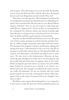and weapons. They did maneuvers across the field, the Bradley roared across the field and did a wheelie, then they all jumped back in and went flying back into the woods. Way cool!

Then there were the speeches. The band played, and then the second Battalion marched onto the field and were officially graduated. They marched off to the side and we were allowed fifteen minutes with him. Next we sat and waited a really long time while JB was "outprocessed." Turns out there is a waiting list for the waiting list for airborne school, and instead of going right there they have to hang out here in the barracks for a few more days. So all the stuff they packed up has to be put back.

Anyway, we then had JB until Sunday at 5:00 p.m. We spent a lot of time eating, meeting up with his friends and their families at, oddly enough, restaurants and malls with food courts. We also played lots of games with Sue and Dwayne, talking and eating some more. Unfortunately for the rest of us, only JB can manage to eat like that and not show it...We played Scrabble and Acquire and Masterpiece and talked and talked and ate some more. We also went to the Infantryman's Museum on base, which the guys thought was really cool. I was having back and leg trouble and spent that time recouping, asleep in the truck. JB also managed to get some time in at a music store and a hobby shop. Sunday he wanted to go to church so we found a pca church and went. The message was solid, but the music was, let's say, really old fashioned. (To my gpc friends: after the youth group sang the one and only contemporary chorus while clapping in time to the music, the pastor did say he thought it was okay to clap!)

JB still has some regrets about joining but is very resigned to it and wants to make the best of it. He has definitely grown up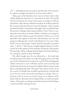a lot — although in many ways he is just the same. (For instance, he called us tonight and asked if we'd seen his wallet!)

Many guys in his battalion were sent on to bases where they will be deployed to Korea or to "somewhere in Asia." He and his friends and about two dozen other guys are going to airborne school first. After that he will find out where he will be stationed. He's pretty much decided not to go for Rangers. After hearing first hand what he's already been through I can't say I blame him. He just isn't a Ranger kind of guy. [Author's Note: There's a saying in the army: there are smart soldiers, and there are strong soldiers, and each of them can get the job done.] There are several specialties that appeal to him but unfortunately since he isn't going on to Rangers he is stuck with infantry for two years. After that he can try and change. I asked what his specialty was and he said, "11 Bravo." That means straight-legged infantry. In other words, he is the infantry of the infantry, the grunt of the grunts. His specialty will be walking. But he figures God has him there for a purpose, and he is okay with that.

He called tonight since he was allowed to — he'd only had two phone passes the whole 14 weeks of training. (BTW, most only go 9 weeks, infantry however goes for 14.) He'd been limping the whole weekend we were with him and he went yesterday and had his leg checked out. Seems he's pulled a flexor muscle in his hip or something like that. They gave him orders to have no PT for a week. Normally that would be good, but he's already had no PT for one week and says he's getting out of shape. Two, tomorrow is the PT test to see if you can go on to airborne. If he doesn't take it, who knows how long he'll have to wait for another chance. So he plans on taking it and asks for prayer that he'll pass it and not further damage his leg.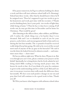If he passes tomorrow, he'll go to airborne holding for about a week and then will start airborne school (still at Ft. Benning). School lasts three weeks. After that he should know where he'll be assigned next. Then he's supposed to get two weeks to go to his hometown and work part-time with his recruiter. ("Thank you for finishing basic, here's your perk: two weeks of light duty while being at home.") Then he has 10 days leave coming. If all works out, he may get this time in December and be home for Christmas. That would be great!

After listening to the officers there, other soldiers, and JB himself, I realize the whole thing was a lot harder than I even dreamed. Bob and I are so thankful to each of you for your prayers, cards, letters, and encouragement both to him and to us during the last four months. The 10 pounds of mail he received really helped keep him going. He told us he received the second most mail of anyone of the 50 guys in his barracks!! He said it was the letters he looked forward to almost as much — and sometimes more than — chow time!

He has no address right now. When he does, I'll pass it on. But even though you can't write, please continue your prayers on his behalf. Spiritually, he is doing better, but he freely admits he isn't doing much Bible reading or having much prayer time. He knows he needs to but...So if you think of it, pray he continues to grow in the understanding and love of the Lord. Bob and I are sure it was prayer warriors that really made the difference these last months. We have seen such positive changes in our son and pray that God will continue to do a good work in him. Thank you all!

We'll let you know what happens with airborne school when

from basic to baghdad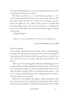we know. Bob is going to scan in some graduation pictures and email them when he gets a chance.

P.S. I have to tell you — he did finally get boots — two weeks before graduation! They were a size 11. He wears an 8<sup>1</sup>/2. But right at the end they were allowed to exchange any uniforms for different sizes. (Most of the guys lost weight and needed smaller pants.) JB was the only one to exchange his boots. He said he didn't say a word, leaving the supply sergeant wondering....

~Maggie Hogan



Letter from JB dated January 8, 2002

Dear Everybody,

As you know I joined the army in June. I have completed basic training at Ft. Benning, Georgia, and have become a qualified infantryman. (I'm the man with the gun who ties up the loose ends after the air force is done with their special effects displays.)

After BCT I was training at the airborne school hoping to earn my Jump Wings and be qualified to hurtle my body out of an aircraft cruising 150 mph at 1250 feet, suspended by some canvas and a few bits of string. (This is worth promotion points — not to be confused with IQ points. We're jumping out of a perfectly good airplane here people!)

However, I developed shin splints, which progressed into two stress fractures in my right leg during the runs at the school. This made it impossible to complete the training. (It also hurt like

$$
9/I1/2001 \qquad \qquad 53
$$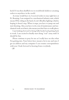heck!) I was then shuffled over to worldwide holdover awaiting orders to anywhere in the world.

As irony would have it, I received orders to stay right here at Ft. Benning. I am assigned to a mechanized infantry unit, which means I'll be riding in the back of a BFV (Bradley fighting vehicle), hoping it doesn't stop. When it stops, you have to jump out and start shooting. Also, you have to do a ton of maintenance and mechanical work on it but it, also means you don't have to walk places.

I am looking forward to being fully healed and getting back to work. I am excited to finally start doing "real" army stuff. It should be fun.

Please continue to pray for me as I really have no idea what I'm getting into. Your letters have meant a lot to me and once I get an address and my computer I can resume correspondence with you. I look forward to hearing from everybody.

 $\sim$  JB